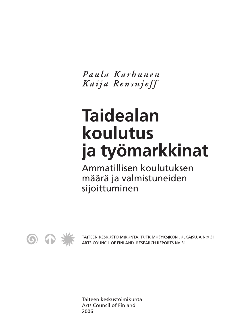Paula Karhunen Kaija Rensujeff

# **Taidealan** koulutus ja työmarkkinat

Ammatillisen koulutuksen määrä ja valmistuneiden sijoittuminen



TAITEEN KESKUSTOIMIKUNTA. TUTKIMUSYKSIKÖN JULKAISUJA N:o 31 ARTS COUNCIL OF FINLAND. RESEARCH REPORTS No 31

Taiteen keskustoimikunta **Arts Council of Finland** 2006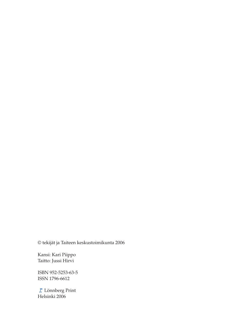© tekijät ja Taiteen keskustoimikunta 2006

Kansi: Kari Piippo Taitto: Jussi Hirvi

ISBN 952-5253-63-5 ISSN 1796-6612

Lönnberg Print Helsinki 2006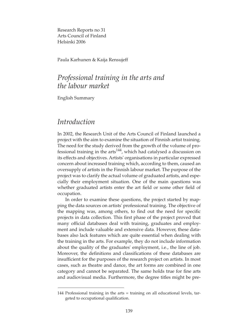Research Reports no 31 Arts Council of Finland Helsinki 2006

Paula Karhunen & Kaija Rensujeff

## *Professional training in the arts and the labour market*

English Summary

## *Introduction*

In 2002, the Research Unit of the Arts Council of Finland launched a project with the aim to examine the situation of Finnish artist training. The need for the study derived from the growth of the volume of professional training in the  $arts<sup>144</sup>$ , which had catalysed a discussion on its effects and objectives. Artists' organisations in particular expressed concern about increased training which, according to them, caused an oversupply of artists in the Finnish labour market. The purpose of the project was to clarify the actual volume of graduated artists, and especially their employment situation. One of the main questions was whether graduated artists enter the art field or some other field of occupation.

In order to examine these questions, the project started by mapping the data sources on artists' professional training. The objective of the mapping was, among others, to find out the need for specific projects in data collection. This first phase of the project proved that many official databases deal with training, graduates and employment and include valuable and extensive data. However, these databases also lack features which are quite essential when dealing with the training in the arts. For example, they do not include information about the quality of the graduates' employment, i.e., the line of job. Moreover, the definitions and classifications of these databases are insufficient for the purposes of the research project on artists. In most cases, such as theatre and dance, the art forms are combined in one category and cannot be separated. The same holds true for fine arts and audiovisual media. Furthermore, the degree titles might be pre-

<sup>144</sup> Professional training in the arts = training on all educational levels, targeted to occupational qualification.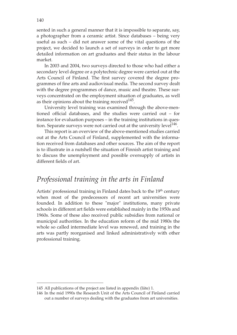sented in such a general manner that it is impossible to separate, say, a photographer from a ceramic artist. Since databases – being very useful as such – did not answer some of the vital questions of the project, we decided to launch a set of surveys in order to get more detailed information on art graduates and their status in the labour market.

In 2003 and 2004, two surveys directed to those who had either a secondary level degree or a polytechnic degree were carried out at the Arts Council of Finland. The first survey covered the degree programmes of fine arts and audiovisual media. The second survey dealt with the degree programmes of dance, music and theatre. These surveys concentrated on the employment situation of graduates, as well as their opinions about the training received $145$ .

University level training was examined through the above-mentioned official databases, and the studies were carried out – for instance for evaluation purposes – in the training institutions in question. Separate surveys were not carried out at the university level $1^{146}$ .

This report is an overview of the above-mentioned studies carried out at the Arts Council of Finland, supplemented with the information received from databases and other sources. The aim of the report is to illustrate in a nutshell the situation of Finnish artist training and to discuss the unemployment and possible oversupply of artists in different fields of art.

### *Professional training in the arts in Finland*

Artists' professional training in Finland dates back to the 19<sup>th</sup> century when most of the predecessors of recent art universities were founded. In addition to these "major" institutions, many private schools in different art fields were established mainly in the 1950s and 1960s. Some of these also received public subsidies from national or municipal authorities. In the education reform of the mid 1980s the whole so called intermediate level was renewed, and training in the arts was partly reorganised and linked administratively with other professional training.

<sup>145</sup> All publications of the project are listed in appendix (liite) 1.

<sup>146</sup> In the mid 1990s the Research Unit of the Arts Council of Finland carried out a number of surveys dealing with the graduates from art universities.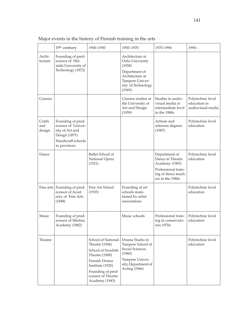|                         | 19th century                                                                                                      | 1900-1950                                                                                                                                                                     | 1950-1970                                                                                                                           | 1970-1990                                                                                                             | 1990-                                                  |
|-------------------------|-------------------------------------------------------------------------------------------------------------------|-------------------------------------------------------------------------------------------------------------------------------------------------------------------------------|-------------------------------------------------------------------------------------------------------------------------------------|-----------------------------------------------------------------------------------------------------------------------|--------------------------------------------------------|
| Archi-<br>tecture       | Founding of pred-<br>ecessor of Hel-<br>sinki University of<br>Technology (1872)                                  |                                                                                                                                                                               | Architecture at<br>Oulu University<br>(1958)<br>Department of<br>Architecture at<br>Tampere Univer-<br>sity of Technology<br>(1969) |                                                                                                                       |                                                        |
| Cinema                  |                                                                                                                   |                                                                                                                                                                               | Cinema studies at<br>the University of<br>Art and Design<br>(1959)                                                                  | Studies in audio-<br>visual media at<br>intermediate level<br>in the 1980s                                            | Polytechnic level<br>education in<br>audiovisual media |
| Crafts<br>and<br>design | Founding of pred-<br>ecessor of Univer-<br>sity of Art and<br>Design (1871)<br>Handicraft schools<br>in provinces |                                                                                                                                                                               |                                                                                                                                     | Artisan and<br>artenom degrees<br>(1987)                                                                              | Polytechnic level<br>education                         |
| Dance                   |                                                                                                                   | Ballet School of<br>National Opera<br>(1921)                                                                                                                                  |                                                                                                                                     | Department of<br>Dance in Theatre<br>Academy (1983)<br>Professional train-<br>ing of dance teach-<br>ers in the 1980s | Polytechnic level<br>education                         |
| Fine arts               | Founding of pred-<br>ecessor of Acad-<br>emy of Fine Arts<br>(1848)                                               | Free Art School<br>(1935)                                                                                                                                                     | Founding of art<br>schools main-<br>tained by artist<br>associations                                                                |                                                                                                                       | Polytechnic level<br>education                         |
| Music                   | Founding of pred-<br>ecessor of Sibelius<br>Academy (1882)                                                        |                                                                                                                                                                               | Music schools                                                                                                                       | Professional train-<br>ing in conservato-<br>ries 1970s                                                               | Polytechnic level<br>education                         |
| Theatre                 |                                                                                                                   | School of National<br>Theatre (1906)<br>School of Swedish<br>Theatre (1908)<br>Finnish Drama<br>Institute (1920)<br>Founding of pred-<br>ecessor of Theatre<br>Academy (1943) | Drama Studio in<br>Tampere School of<br>Social Sciences<br>(1960)<br>Tampere Univer-<br>sity, Department of<br>Acting (1966)        |                                                                                                                       | Polytechnic level<br>education                         |

Major events in the history of Finnish training in the arts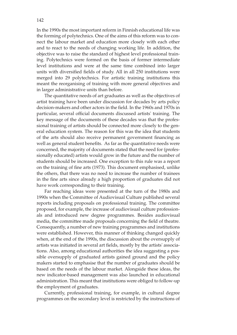In the 1990s the most important reform in Finnish educational life was the forming of polytechnics. One of the aims of this reform was to connect the labour market and education more closely with each other and to react to the needs of changing working life. In addition, the objective was to raise the standard of highest level professional training. Polytechnics were formed on the basis of former intermediate level institutions and were at the same time combined into larger units with diversified fields of study. All in all 250 institutions were merged into 29 polytechnics. For artistic training institutions this meant the reorganising of training with more general objectives and in larger administrative units than before.

The quantitative needs of art graduates as well as the objectives of artist training have been under discussion for decades by arts policy decision-makers and other actors in the field. In the 1960s and 1970s in particular, several official documents discussed artists' training. The key message of the documents of these decades was that the professional training of artists should be connected more closely to the general education system. The reason for this was the idea that students of the arts should also receive permanent government financing as well as general student benefits. As far as the quantitative needs were concerned, the majority of documents stated that the need for (professionally educated) artists would grow in the future and the number of students should be increased. One exception to this rule was a report on the training of fine arts (1973). This document emphasised, unlike the others, that there was no need to increase the number of trainees in the fine arts since already a high proportion of graduates did not have work corresponding to their training.

Far reaching ideas were presented at the turn of the 1980s and 1990s when the Committee of Audiovisual Culture published several reports including proposals on professional training. The committee proposed, for example, the increase of audiovisual culture professionals and introduced new degree programmes. Besides audiovisual media, the committee made proposals concerning the field of theatre. Consequently, a number of new training programmes and institutions were established. However, this manner of thinking changed quickly when, at the end of the 1990s, the discussion about the oversupply of artists was initiated in several art fields, mostly by the artists' associations. Also, among educational authorities the idea suggesting a possible oversupply of graduated artists gained ground and the policy makers started to emphasise that the number of graduates should be based on the needs of the labour market. Alongside these ideas, the new indicator-based management was also launched in educational administration. This meant that institutions were obliged to follow-up the employment of graduates.

Currently, professional training, for example, in cultural degree programmes on the secondary level is restricted by the instructions of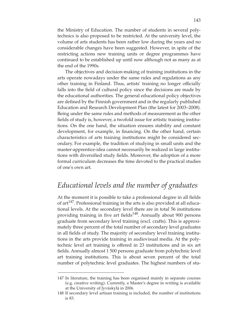the Ministry of Education. The number of students in several polytechnics is also proposed to be restricted. At the university level, the volume of arts students has been rather low during the years and no considerable changes have been suggested. However, in spite of the restricting actions new training units or degree programmes have continued to be established up until now although not as many as at the end of the 1990s.

The objectives and decision-making of training institutions in the arts operate nowadays under the same rules and regulations as any other training in Finland. Thus, artists' training no longer officially falls into the field of cultural policy since the decisions are made by the educational authorities. The general educational policy objectives are defined by the Finnish government and in the regularly published Education and Research Development Plan (the latest for 2003–2008). Being under the same rules and methods of measurement as the other fields of study is, however, a twofold issue for artistic training institutions. On the one hand, the situation ensures stability and constant development, for example, in financing. On the other hand, certain characteristics of arts training institutions might be considered secondary. For example, the tradition of studying in small units and the master-apprentice-idea cannot necessarily be realized in large institutions with diversified study fields. Moreover, the adoption of a more formal curriculum decreases the time devoted to the practical studies of one's own art.

## *Educational levels and the number of graduates*

At the moment it is possible to take a professional degree in all fields of art<sup>147</sup>. Professional training in the arts is also provided at all educational levels. At the secondary level there are in total 56 institutions providing training in five art fields<sup>148</sup>. Annually about 900 persons graduate from secondary level training (excl. crafts). This is approximately three percent of the total number of secondary level graduates in all fields of study. The majority of secondary level training institutions in the arts provide training in audiovisual media. At the polytechnic level art training is offered in 23 institutions and in six art fields. Annually almost 1 500 persons graduate from polytechnic level art training institutions. This is about seven percent of the total number of polytechnic level graduates. The highest numbers of stu-

<sup>147</sup> In literature, the training has been organised mainly in separate courses (e.g. creative writing). Currently, a Master's degree in writing is available at the University of Jyväskylä in 2006.

<sup>148</sup> If secondary level artisan training is included, the number of institutions is 83.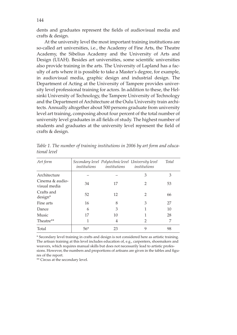dents and graduates represent the fields of audiovisual media and crafts & design.

At the university level the most important training institutions are so-called art universities, i.e., the Academy of Fine Arts, the Theatre Academy, the Sibelius Academy and the University of Arts and Design (UIAH). Besides art universities, some scientific universities also provide training in the arts. The University of Lapland has a faculty of arts where it is possible to take a Master's degree, for example, in audiovisual media, graphic design and industrial design. The Department of Acting at the University of Tampere provides university level professional training for actors. In addition to these, the Helsinki University of Technology, the Tampere University of Technology and the Department of Architecture at the Oulu University train architects. Annually altogether about 500 persons graduate from university level art training, composing about four percent of the total number of university level graduates in all fields of study. The highest number of students and graduates at the university level represent the field of crafts & design.

| Art form                        |       | Secondary level Polytechnic level University level<br><i>institutions institutions</i> | institutions   | <b>Total</b> |
|---------------------------------|-------|----------------------------------------------------------------------------------------|----------------|--------------|
| Architecture                    |       |                                                                                        | 3              | 3            |
| Cinema & audio-<br>visual media | 34    | 17                                                                                     | $\overline{2}$ | 53           |
| Crafts and<br>design*           | 52    | 12                                                                                     | 2              | 66           |
| Fine arts                       | 16    | 8                                                                                      | 3              | 27           |
| Dance                           | 6     | 3                                                                                      |                | 10           |
| Music                           | 17    | 10                                                                                     |                | 28           |
| Theatre**                       |       | 4                                                                                      | $\mathcal{L}$  | 7            |
| Total                           | $56*$ | 23                                                                                     | 9              | 98           |

*Table 1. The number of training institutions in 2006 by art form and educational level*

\* Secondary level training in crafts and design is not considered here as artistic training. The artisan training at this level includes education of, e.g., carpenters, shoemakers and weavers, which requires manual skills but does not necessarily lead to artistic professions. However, the numbers and proportions of artisans are given in the tables and figures of the report.

\*\* Circus at the secondary level.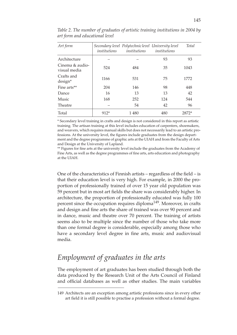| Art form                        | institutions | Secondary level Polytechnic level University level<br>institutions | institutions | <b>Total</b> |
|---------------------------------|--------------|--------------------------------------------------------------------|--------------|--------------|
| Architecture                    |              |                                                                    | 93           | 93           |
| Cinema & audio-<br>visual media | 524          | 484                                                                | 35           | 1043         |
| Crafts and<br>design*           | 1166         | 531                                                                | 75           | 1772         |
| Fine arts**                     | 204          | 146                                                                | 98           | 448          |
| Dance                           | 16           | 13                                                                 | 13           | 42           |
| Music                           | 168          | 252                                                                | 124          | 544          |
| Theatre                         |              | 54                                                                 | 42           | 96           |
| Total                           | $912*$       | 1480                                                               | 480          | 2872*        |

*Table 2. The number of graduates of artistic training institutions in 2004 by art form and educational level*

\* Secondary level training in crafts and design is not considered in this report as artistic training. The artisan training at this level includes education of carpenters, shoemakers, and weavers, which requires manual skills but does not necessarily lead to an artistic professions. At the university level, the figures include graduates from the design department and the degree programme of graphic arts at the UIAH and from the Faculty of Arts and Design at the University of Lapland.

\*\* Figures for fine arts at the university level include the graduates from the Academy of Fine Arts, as well as the degree programmes of fine arts, arts education and photography at the UIAH.

One of the characteristics of Finnish artists – regardless of the field – is that their education level is very high. For example, in 2000 the proportion of professionally trained of over 15 year old population was 59 percent but in most art fields the share was considerably higher. In architecture, the proportion of professionally educated was fully 100 percent since the occupation requires diploma<sup>149</sup>. Moreover, in crafts and design and fine arts the share of trained was over 90 percent and in dance, music and theatre over 70 percent. The training of artists seems also to be multiple since the number of those who take more than one formal degree is considerable, especially among those who have a secondary level degree in fine arts, music and audiovisual media.

## *Employment of graduates in the arts*

The employment of art graduates has been studied through both the data produced by the Research Unit of the Arts Council of Finland and official databases as well as other studies. The main variables

<sup>149</sup> Architects are an exception among artistic professions since in every other art field it is still possible to practise a profession without a formal degree.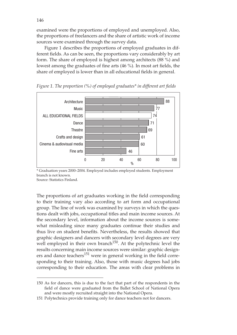examined were the proportions of employed and unemployed. Also, the proportions of freelancers and the share of artistic work of income sources were examined through the survey data.

Figure 1 describes the proportions of employed graduates in different fields. As can be seen, the proportions vary considerably by art form. The share of employed is highest among architects (88 %) and lowest among the graduates of fine arts (46 %). In most art fields, the share of employed is lower than in all educational fields in general.



*Figure 1. The proportion (%) of employed graduates\* in different art fields*

\* Graduation years 2000–2004. Employed includes employed students. Employment branch is not known. Source: Statistics Finland.

The proportions of art graduates working in the field corresponding to their training vary also according to art form and occupational group. The line of work was examined by surveys in which the questions dealt with jobs, occupational titles and main income sources. At the secondary level, information about the income sources is somewhat misleading since many graduates continue their studies and thus live on student benefits. Nevertheless, the results showed that graphic designers and dancers with secondary level degrees are very well employed in their own branch<sup>150</sup>. At the polytechnic level the results concerning main income sources were similar: graphic designers and dance teachers $^{151}$  were in general working in the field corresponding to their training. Also, those with music degrees had jobs corresponding to their education. The areas with clear problems in

<sup>150</sup> As for dancers, this is due to the fact that part of the respondents in the field of dance were graduated from the Ballet School of National Opera and were mostly recruited straight into the National Opera.

<sup>151</sup> Polytechnics provide training only for dance teachers not for dancers.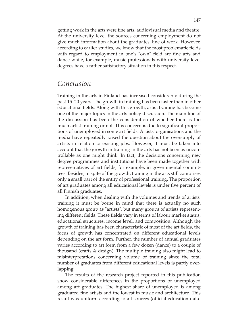getting work in the arts were fine arts, audiovisual media and theatre. At the university level the sources concerning employment do not give much information about the graduates' line of work. However, according to earlier studies, we know that the most problematic fields with regard to employment in one's "own" field are fine arts and dance while, for example, music professionals with university level degrees have a rather satisfactory situation in this respect.

#### *Conclusion*

Training in the arts in Finland has increased considerably during the past 15–20 years. The growth in training has been faster than in other educational fields. Along with this growth, artist training has become one of the major topics in the arts policy discussion. The main line of the discussion has been the consideration of whether there is too much artist training or not. This concern is due to significant proportions of unemployed in some art fields. Artists' organisations and the media have repeatedly raised the question about the oversupply of artists in relation to existing jobs. However, it must be taken into account that the growth in training in the arts has not been as uncontrollable as one might think. In fact, the decisions concerning new degree programmes and institutions have been made together with representatives of art fields, for example, in governmental committees. Besides, in spite of the growth, training in the arts still comprises only a small part of the entity of professional training. The proportion of art graduates among all educational levels is under five percent of all Finnish graduates.

In addition, when dealing with the volumes and trends of artists' training it must be borne in mind that there is actually no such homogenous group as "artists", but many groups of artists representing different fields. These fields vary in terms of labour market status, educational structures, income level, and composition. Although the growth of training has been characteristic of most of the art fields, the focus of growth has concentrated on different educational levels depending on the art form. Further, the number of annual graduates varies according to art form from a few dozen (dance) to a couple of thousand (crafts & design). The multiple training also might lead to misinterpretations concerning volume of training since the total number of graduates from different educational levels is partly overlapping.

The results of the research project reported in this publication show considerable differences in the proportions of unemployed among art graduates. The highest share of unemployed is among graduated fine artists and the lowest in music and architecture. This result was uniform according to all sources (official education data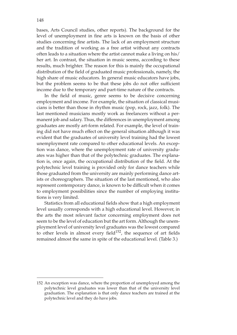bases, Arts Council studies, other reports). The background for the level of unemployment in fine arts is known on the basis of other studies concerning fine artists. The lack of an employment structure and the tradition of working as a free artist without any contracts often leads to a situation where the artist cannot make a living on his/ her art. In contrast, the situation in music seems, according to these results, much brighter. The reason for this is mainly the occupational distribution of the field of graduated music professionals, namely, the high share of music educators. In general music educators have jobs, but the problem seems to be that these jobs do not offer sufficient income due to the temporary and part-time nature of the contracts.

In the field of music, genre seems to be decisive concerning employment and income. For example, the situation of classical musicians is better than those in rhythm music (pop, rock, jazz, folk). The last mentioned musicians mostly work as freelancers without a permanent job and salary. Thus, the differences in unemployment among graduates are mostly art-form related. For example, the level of training did not have much effect on the general situation although it was evident that the graduates of university level training had the lowest unemployment rate compared to other educational levels. An exception was dance, where the unemployment rate of university graduates was higher than that of the polytechnic graduates. The explanation is, once again, the occupational distribution of the field. At the polytechnic level training is provided only for dance teachers while those graduated from the university are mainly performing dance artists or choreographers. The situation of the last mentioned, who also represent contemporary dance, is known to be difficult when it comes to employment possibilities since the number of employing institutions is very limited.

Statistics from all educational fields show that a high employment level usually corresponds with a high educational level. However, in the arts the most relevant factor concerning employment does not seem to be the level of education but the art form. Although the unemployment level of university level graduates was the lowest compared to other levels in almost every field $152$ , the sequence of art fields remained almost the same in spite of the educational level. (Table 3.)

<sup>152</sup> An exception was dance, where the proportion of unemployed among the polytechnic level graduates was lower than that of the university level graduation. The explanation is that only dance teachers are trained at the polytechnic level and they do have jobs.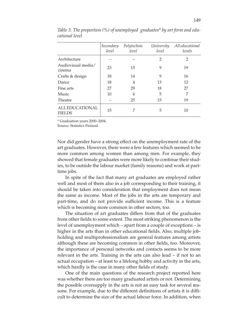|                                         | Secondary<br>level | Polytechnic<br>level | University<br>level | All educational<br>levels |
|-----------------------------------------|--------------------|----------------------|---------------------|---------------------------|
| Architecture                            |                    |                      | $\overline{2}$      | $\overline{2}$            |
| Audiovisual media/<br>cinema            | 23                 | 15                   | 9                   | 19                        |
| Crafts & design                         | 18                 | 14                   | 9                   | 16                        |
| Dance                                   | 18                 | 4                    | 13                  | 12                        |
| Fine arts                               | 27                 | 29                   | 18                  | 27                        |
| Music                                   | 10                 | 6                    | 5                   | 7                         |
| Theatre                                 |                    | 25                   | 15                  | 19                        |
| <b>ALL EDUCATIONAL</b><br><b>FIELDS</b> | 15                 |                      | 5                   | 10                        |

*Table 3. The proportion (%) of unemployed graduates\* by art form and educational level*

\* Graduation years 2000–2004.

Source: Statistics Finland.

Nor did gender have a strong effect on the unemployment rate of the art graduates. However, there were a few features which seemed to be more common among women than among men. For example, they showed that female graduates were more likely to continue their studies, to be outside the labour market (family reasons) and work at parttime jobs.

In spite of the fact that many art graduates are employed rather well and most of them also in a job corresponding to their training, it should be taken into consideration that employment does not mean the same as income. Most of the jobs in the arts are temporary and part-time, and do not provide sufficient income. This is a feature which is becoming more common in other sectors, too.

The situation of art graduates differs from that of the graduates from other fields to some extent. The most striking phenomenon is the level of unemployment which – apart from a couple of exceptions – is higher in the arts than in other educational fields. Also, multiple jobholding and multiprofessionalism are general features among artists although these are becoming common in other fields, too. Moreover, the importance of personal networks and contacts seems to be more relevant in the arts. Training in the arts can also lead – if not to an actual occupation – at least to a lifelong hobby and activity in the arts, which hardly is the case in many other fields of study.

One of the main questions of the research project reported here was whether there are too many graduated artists or not. Determining the possible oversupply in the arts is not an easy task for several reasons. For example, due to the different definitions of artists it is difficult to determine the size of the actual labour force. In addition, when